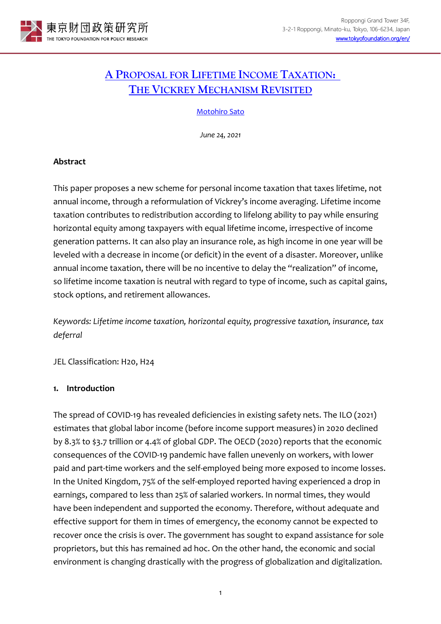

# **A [PROPOSAL FOR LIFETIME INCOME TAXATION:](https://www.tkfd.or.jp/en/research/detail.php?id=817) [THE VICKREY MECHANISM REVISITED](https://www.tkfd.or.jp/en/research/detail.php?id=817)**

## [Motohiro Sato](https://www.tkfd.or.jp/en/experts/detail.php?id=36)

*June 24, 2021*

# **Abstract**

This paper proposes a new scheme for personal income taxation that taxes lifetime, not annual income, through a reformulation of Vickrey's income averaging. Lifetime income taxation contributes to redistribution according to lifelong ability to pay while ensuring horizontal equity among taxpayers with equal lifetime income, irrespective of income generation patterns. It can also play an insurance role, as high income in one year will be leveled with a decrease in income (or deficit) in the event of a disaster. Moreover, unlike annual income taxation, there will be no incentive to delay the "realization" of income, so lifetime income taxation is neutral with regard to type of income, such as capital gains, stock options, and retirement allowances.

*Keywords: Lifetime income taxation, horizontal equity, progressive taxation, insurance, tax deferral* 

JEL Classification: H20, H24

# **1. Introduction**

The spread of COVID-19 has revealed deficiencies in existing safety nets. The ILO (2021) estimates that global labor income (before income support measures) in 2020 declined by 8.3% to \$3.7 trillion or 4.4% of global GDP. The OECD (2020) reports that the economic consequences of the COVID-19 pandemic have fallen unevenly on workers, with lower paid and part-time workers and the self-employed being more exposed to income losses. In the United Kingdom, 75% of the self-employed reported having experienced a drop in earnings, compared to less than 25% of salaried workers. In normal times, they would have been independent and supported the economy. Therefore, without adequate and effective support for them in times of emergency, the economy cannot be expected to recover once the crisis is over. The government has sought to expand assistance for sole proprietors, but this has remained ad hoc. On the other hand, the economic and social environment is changing drastically with the progress of globalization and digitalization.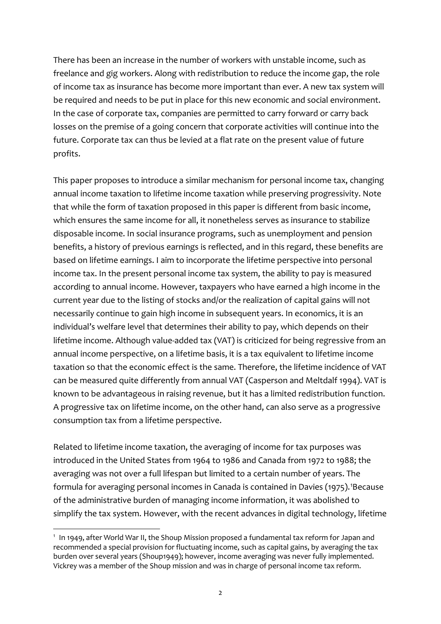There has been an increase in the number of workers with unstable income, such as freelance and gig workers. Along with redistribution to reduce the income gap, the role of income tax as insurance has become more important than ever. A new tax system will be required and needs to be put in place for this new economic and social environment. In the case of corporate tax, companies are permitted to carry forward or carry back losses on the premise of a going concern that corporate activities will continue into the future. Corporate tax can thus be levied at a flat rate on the present value of future profits.

This paper proposes to introduce a similar mechanism for personal income tax, changing annual income taxation to lifetime income taxation while preserving progressivity. Note that while the form of taxation proposed in this paper is different from basic income, which ensures the same income for all, it nonetheless serves as insurance to stabilize disposable income. In social insurance programs, such as unemployment and pension benefits, a history of previous earnings is reflected, and in this regard, these benefits are based on lifetime earnings. I aim to incorporate the lifetime perspective into personal income tax. In the present personal income tax system, the ability to pay is measured according to annual income. However, taxpayers who have earned a high income in the current year due to the listing of stocks and/or the realization of capital gains will not necessarily continue to gain high income in subsequent years. In economics, it is an individual's welfare level that determines their ability to pay, which depends on their lifetime income. Although value-added tax (VAT) is criticized for being regressive from an annual income perspective, on a lifetime basis, it is a tax equivalent to lifetime income taxation so that the economic effect is the same. Therefore, the lifetime incidence of VAT can be measured quite differently from annual VAT (Casperson and Meltdalf 1994). VAT is known to be advantageous in raising revenue, but it has a limited redistribution function. A progressive tax on lifetime income, on the other hand, can also serve as a progressive consumption tax from a lifetime perspective.

Related to lifetime income taxation, the averaging of income for tax purposes was introduced in the United States from 1964 to 1986 and Canada from 1972 to 1988; the averaging was not over a full lifespan but limited to a certain number of years. The formula for averaging personal incomes in Canada is contained in Davies ([1](#page-1-0)975).<sup>1</sup>Because of the administrative burden of managing income information, it was abolished to simplify the tax system. However, with the recent advances in digital technology, lifetime

<span id="page-1-0"></span><sup>1</sup> In 1949, after World War II, the Shoup Mission proposed a fundamental tax reform for Japan and recommended a special provision for fluctuating income, such as capital gains, by averaging the tax burden over several years (Shoup1949); however, income averaging was never fully implemented. Vickrey was a member of the Shoup mission and was in charge of personal income tax reform.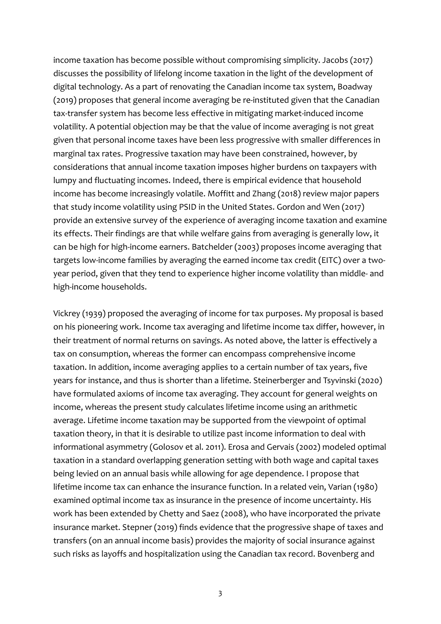income taxation has become possible without compromising simplicity. Jacobs (2017) discusses the possibility of lifelong income taxation in the light of the development of digital technology. As a part of renovating the Canadian income tax system, Boadway (2019) proposes that general income averaging be re-instituted given that the Canadian tax-transfer system has become less effective in mitigating market-induced income volatility. A potential objection may be that the value of income averaging is not great given that personal income taxes have been less progressive with smaller differences in marginal tax rates. Progressive taxation may have been constrained, however, by considerations that annual income taxation imposes higher burdens on taxpayers with lumpy and fluctuating incomes. Indeed, there is empirical evidence that household income has become increasingly volatile. Moffitt and Zhang (2018) review major papers that study income volatility using PSID in the United States. Gordon and Wen (2017) provide an extensive survey of the experience of averaging income taxation and examine its effects. Their findings are that while welfare gains from averaging is generally low, it can be high for high-income earners. Batchelder (2003) proposes income averaging that targets low-income families by averaging the earned income tax credit (EITC) over a twoyear period, given that they tend to experience higher income volatility than middle- and high-income households.

Vickrey (1939) proposed the averaging of income for tax purposes. My proposal is based on his pioneering work. Income tax averaging and lifetime income tax differ, however, in their treatment of normal returns on savings. As noted above, the latter is effectively a tax on consumption, whereas the former can encompass comprehensive income taxation. In addition, income averaging applies to a certain number of tax years, five years for instance, and thus is shorter than a lifetime. Steinerberger and Tsyvinski (2020) have formulated axioms of income tax averaging. They account for general weights on income, whereas the present study calculates lifetime income using an arithmetic average. Lifetime income taxation may be supported from the viewpoint of optimal taxation theory, in that it is desirable to utilize past income information to deal with informational asymmetry (Golosov et al. 2011). Erosa and Gervais (2002) modeled optimal taxation in a standard overlapping generation setting with both wage and capital taxes being levied on an annual basis while allowing for age dependence. I propose that lifetime income tax can enhance the insurance function. In a related vein, Varian (1980) examined optimal income tax as insurance in the presence of income uncertainty. His work has been extended by Chetty and Saez (2008), who have incorporated the private insurance market. Stepner (2019) finds evidence that the progressive shape of taxes and transfers (on an annual income basis) provides the majority of social insurance against such risks as layoffs and hospitalization using the Canadian tax record. Bovenberg and

3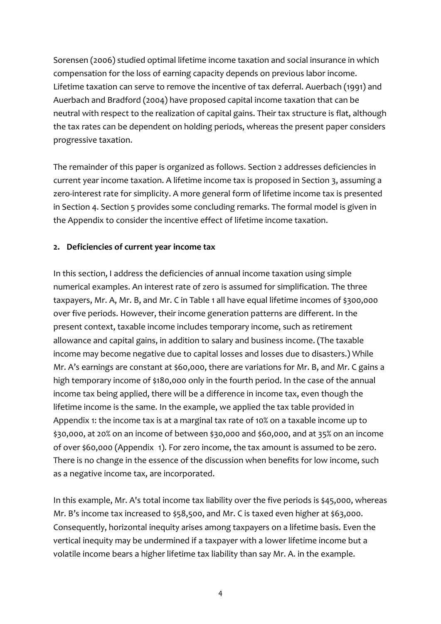Sorensen (2006) studied optimal lifetime income taxation and social insurance in which compensation for the loss of earning capacity depends on previous labor income. Lifetime taxation can serve to remove the incentive of tax deferral. Auerbach (1991) and Auerbach and Bradford (2004) have proposed capital income taxation that can be neutral with respect to the realization of capital gains. Their tax structure is flat, although the tax rates can be dependent on holding periods, whereas the present paper considers progressive taxation.

The remainder of this paper is organized as follows. Section 2 addresses deficiencies in current year income taxation. A lifetime income tax is proposed in Section 3, assuming a zero-interest rate for simplicity. A more general form of lifetime income tax is presented in Section 4. Section 5 provides some concluding remarks. The formal model is given in the Appendix to consider the incentive effect of lifetime income taxation.

# **2. Deficiencies of current year income tax**

In this section, I address the deficiencies of annual income taxation using simple numerical examples. An interest rate of zero is assumed for simplification. The three taxpayers, Mr. A, Mr. B, and Mr. C in Table 1 all have equal lifetime incomes of \$300,000 over five periods. However, their income generation patterns are different. In the present context, taxable income includes temporary income, such as retirement allowance and capital gains, in addition to salary and business income. (The taxable income may become negative due to capital losses and losses due to disasters.) While Mr. A's earnings are constant at \$60,000, there are variations for Mr. B, and Mr. C gains a high temporary income of \$180,000 only in the fourth period. In the case of the annual income tax being applied, there will be a difference in income tax, even though the lifetime income is the same. In the example, we applied the tax table provided in Appendix 1: the income tax is at a marginal tax rate of 10% on a taxable income up to \$30,000, at 20% on an income of between \$30,000 and \$60,000, and at 35% on an income of over \$60,000 (Appendix 1). For zero income, the tax amount is assumed to be zero. There is no change in the essence of the discussion when benefits for low income, such as a negative income tax, are incorporated.

In this example, Mr. A's total income tax liability over the five periods is \$45,000, whereas Mr. B's income tax increased to \$58,500, and Mr. C is taxed even higher at \$63,000. Consequently, horizontal inequity arises among taxpayers on a lifetime basis. Even the vertical inequity may be undermined if a taxpayer with a lower lifetime income but a volatile income bears a higher lifetime tax liability than say Mr. A. in the example.

4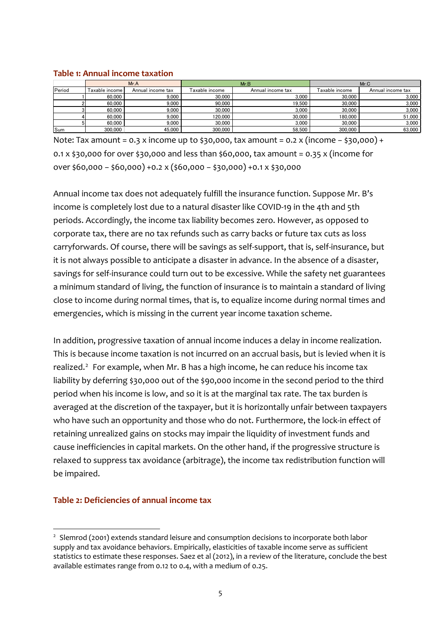#### **Table 1: Annual income taxation**

|        | Mr.A                    |                   | Mr.B            |                   | Mr.C           |                   |
|--------|-------------------------|-------------------|-----------------|-------------------|----------------|-------------------|
| Period | <b>Taxable income I</b> | Annual income tax | i axable income | Annual income tax | Taxable income | Annual income tax |
|        | 60,000                  | 9.000             | 30,000          | 3.000             | 30,000         | 3,000             |
|        | 60,000                  | 9.000             | 90,000          | 19.500            | 30,000         | 3.000             |
|        | 60,000                  | 9.000             | 30,000          | 3.000             | 30,000         | 3,000             |
|        | 60,000                  | 9.000             | 120.000         | 30.000            | 180.000        | 51,000            |
|        | 60,000                  | 9.000             | 30,000          | 3.000             | 30.000         | 3.000             |
| Sum    | 300.000                 | 45.000            | 300.000         | 58,500            | 300.000        | 63.000            |

Note: Tax amount = 0.3 x income up to \$30,000, tax amount = 0.2 x (income − \$30,000) + 0.1 x \$30,000 for over \$30,000 and less than \$60,000, tax amount = 0.35 x (income for over \$60,000 − \$60,000) +0.2 x (\$60,000 − \$30,000) +0.1 x \$30,000

Annual income tax does not adequately fulfill the insurance function. Suppose Mr. B's income is completely lost due to a natural disaster like COVID-19 in the 4th and 5th periods. Accordingly, the income tax liability becomes zero. However, as opposed to corporate tax, there are no tax refunds such as carry backs or future tax cuts as loss carryforwards. Of course, there will be savings as self-support, that is, self-insurance, but it is not always possible to anticipate a disaster in advance. In the absence of a disaster, savings for self-insurance could turn out to be excessive. While the safety net guarantees a minimum standard of living, the function of insurance is to maintain a standard of living close to income during normal times, that is, to equalize income during normal times and emergencies, which is missing in the current year income taxation scheme.

In addition, progressive taxation of annual income induces a delay in income realization. This is because income taxation is not incurred on an accrual basis, but is levied when it is realized.<sup>[2](#page-4-0)</sup> For example, when Mr. B has a high income, he can reduce his income tax liability by deferring \$30,000 out of the \$90,000 income in the second period to the third period when his income is low, and so it is at the marginal tax rate. The tax burden is averaged at the discretion of the taxpayer, but it is horizontally unfair between taxpayers who have such an opportunity and those who do not. Furthermore, the lock-in effect of retaining unrealized gains on stocks may impair the liquidity of investment funds and cause inefficiencies in capital markets. On the other hand, if the progressive structure is relaxed to suppress tax avoidance (arbitrage), the income tax redistribution function will be impaired.

# **Table 2: Deficiencies of annual income tax**

<span id="page-4-0"></span><sup>&</sup>lt;sup>2</sup> Slemrod (2001) extends standard leisure and consumption decisions to incorporate both labor supply and tax avoidance behaviors. Empirically, elasticities of taxable income serve as sufficient statistics to estimate these responses. Saez et al (2012), in a review of the literature, conclude the best available estimates range from 0.12 to 0.4, with a medium of 0.25.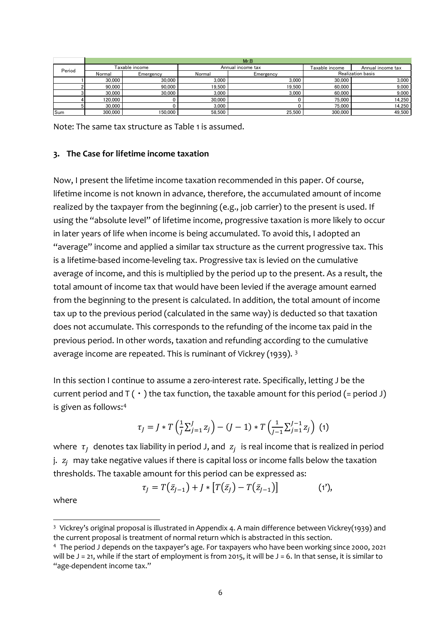|        | Mr.B           |           |                   |           |                          |                   |
|--------|----------------|-----------|-------------------|-----------|--------------------------|-------------------|
| Period | Taxable income |           | Annual income tax |           | Taxable income           | Annual income tax |
|        | Normal         | Emergency | Normal            | Emergency | <b>Realization basis</b> |                   |
|        | 30,000         | 30,000    | 3.000             | 3.000     | 30,000                   | 3.000             |
|        | 90.000         | 90.000    | 19.500            | 19.500    | 60,000                   | 9,000             |
|        | 30.000         | 30.000    | 3.000             | 3.000     | 60,000                   | 9,000             |
|        | 120.000        |           | 30,000            |           | 75,000                   | 14,250            |
|        | 30.000         |           | 3.000             |           | 75,000                   | 14.250            |
| Sum    | 300.000        | 150.000   | 58.500            | 25.500    | 300.000                  | 49.500            |

Note: The same tax structure as Table 1 is assumed.

## **3. The Case for lifetime income taxation**

Now, I present the lifetime income taxation recommended in this paper. Of course, lifetime income is not known in advance, therefore, the accumulated amount of income realized by the taxpayer from the beginning (e.g., job carrier) to the present is used. If using the "absolute level" of lifetime income, progressive taxation is more likely to occur in later years of life when income is being accumulated. To avoid this, I adopted an "average" income and applied a similar tax structure as the current progressive tax. This is a lifetime-based income-leveling tax. Progressive tax is levied on the cumulative average of income, and this is multiplied by the period up to the present. As a result, the total amount of income tax that would have been levied if the average amount earned from the beginning to the present is calculated. In addition, the total amount of income tax up to the previous period (calculated in the same way) is deducted so that taxation does not accumulate. This corresponds to the refunding of the income tax paid in the previous period. In other words, taxation and refunding according to the cumulative average income are repeated. This is ruminant of Vickrey (1939). [3](#page-5-0)

In this section I continue to assume a zero-interest rate. Specifically, letting J be the current period and  $T(\cdot)$  the tax function, the taxable amount for this period (= period J) is given as follows:[4](#page-5-1)

$$
\tau_j = J * T\left(\frac{1}{J}\sum_{j=1}^{J} z_j\right) - (J-1) * T\left(\frac{1}{J-1}\sum_{j=1}^{J-1} z_j\right)
$$
 (1)

where  $\tau_I$  denotes tax liability in period J, and  $z_i$  is real income that is realized in period  $i.$   $z_i$  may take negative values if there is capital loss or income falls below the taxation thresholds. The taxable amount for this period can be expressed as:

$$
\tau_j = T(\bar{z}_{j-1}) + J * [T(\bar{z}_j) - T(\bar{z}_{j-1})]
$$
 (1'),

where

<span id="page-5-0"></span><sup>3</sup> Vickrey's original proposal is illustrated in Appendix 4. A main difference between Vickrey(1939) and the current proposal is treatment of normal return which is abstracted in this section.

<span id="page-5-1"></span><sup>4</sup> The period J depends on the taxpayer's age. For taxpayers who have been working since 2000, 2021 will be  $J = 21$ , while if the start of employment is from 2015, it will be  $J = 6$ . In that sense, it is similar to "age-dependent income tax."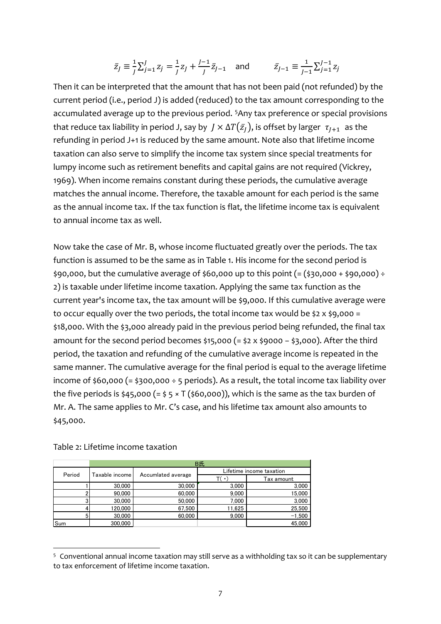$$
\bar{z}_J \equiv \frac{1}{J} \sum_{j=1}^J z_j = \frac{1}{J} z_J + \frac{J-1}{J} \bar{z}_{J-1} \text{ and } \bar{z}_{J-1} \equiv \frac{1}{J-1} \sum_{j=1}^{J-1} z_j
$$

Then it can be interpreted that the amount that has not been paid (not refunded) by the current period (i.e., period J) is added (reduced) to the tax amount corresponding to the accumulated average up to the previous period. [5](#page-6-0)Any tax preference or special provisions that reduce tax liability in period J, say by  $\,J\times\Delta T(\bar{z}_J),$  is offset by larger  $\,\tau_{J+1}\,$  as the refunding in period J+1 is reduced by the same amount. Note also that lifetime income taxation can also serve to simplify the income tax system since special treatments for lumpy income such as retirement benefits and capital gains are not required (Vickrey, 1969). When income remains constant during these periods, the cumulative average matches the annual income. Therefore, the taxable amount for each period is the same as the annual income tax. If the tax function is flat, the lifetime income tax is equivalent to annual income tax as well.

Now take the case of Mr. B, whose income fluctuated greatly over the periods. The tax function is assumed to be the same as in Table 1. His income for the second period is  $$90,000,$  but the cumulative average of  $$60,000$  up to this point (= ( $$30,000 + $90,000$ ) ÷ 2) is taxable under lifetime income taxation. Applying the same tax function as the current year's income tax, the tax amount will be \$9,000. If this cumulative average were to occur equally over the two periods, the total income tax would be \$2 x \$9,000 = \$18,000. With the \$3,000 already paid in the previous period being refunded, the final tax amount for the second period becomes \$15,000 (= \$2 x \$9000 − \$3,000). After the third period, the taxation and refunding of the cumulative average income is repeated in the same manner. The cumulative average for the final period is equal to the average lifetime income of \$60,000 (= \$300,000 ÷ 5 periods). As a result, the total income tax liability over the five periods is \$45,000 (=  $\frac{2}{5}$  × T (\$60,000)), which is the same as the tax burden of Mr. A. The same applies to Mr. C's case, and his lifetime tax amount also amounts to \$45,000.

|        | B氏             |                    |                          |            |  |  |
|--------|----------------|--------------------|--------------------------|------------|--|--|
| Period | Taxable income | Accumlated average | Lifetime income taxation |            |  |  |
|        |                |                    | T( - 1                   | Tax amount |  |  |
|        | 30,000         | 30,000             | 3,000                    | 3,000      |  |  |
|        | 90,000         | 60,000             | 9,000                    | 15,000     |  |  |
|        | 30.000         | 50.000             | 7,000                    | 3,000      |  |  |
|        | 120,000        | 67.500             | 11,625                   | 25,500     |  |  |
| 5      | 30,000         | 60.000             | 9.000                    | $-1,500$   |  |  |
| Sum    | 300,000        |                    |                          | 45.000     |  |  |

Table 2: Lifetime income taxation

<span id="page-6-0"></span><sup>5</sup> Conventional annual income taxation may still serve as a withholding tax so it can be supplementary to tax enforcement of lifetime income taxation.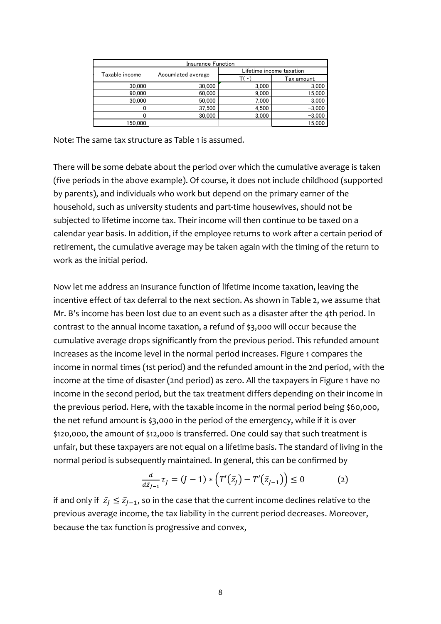| Insurance Function |                    |                          |            |  |  |
|--------------------|--------------------|--------------------------|------------|--|--|
| Taxable income     | Accumlated average | Lifetime income taxation |            |  |  |
|                    |                    | T( •                     | Tax amount |  |  |
| 30,000             | 30,000             | 3,000                    | 3,000      |  |  |
| 90.000             | 60,000             | 9,000                    | 15,000     |  |  |
| 30,000             | 50,000             | 7,000                    | 3,000      |  |  |
|                    | 37.500             | 4,500                    | $-3,000$   |  |  |
|                    | 30,000             | 3.000                    | $-3.000$   |  |  |
| 150.000            |                    |                          | 15.000     |  |  |

Note: The same tax structure as Table 1 is assumed.

There will be some debate about the period over which the cumulative average is taken (five periods in the above example). Of course, it does not include childhood (supported by parents), and individuals who work but depend on the primary earner of the household, such as university students and part-time housewives, should not be subjected to lifetime income tax. Their income will then continue to be taxed on a calendar year basis. In addition, if the employee returns to work after a certain period of retirement, the cumulative average may be taken again with the timing of the return to work as the initial period.

Now let me address an insurance function of lifetime income taxation, leaving the incentive effect of tax deferral to the next section. As shown in Table 2, we assume that Mr. B's income has been lost due to an event such as a disaster after the 4th period. In contrast to the annual income taxation, a refund of \$3,000 will occur because the cumulative average drops significantly from the previous period. This refunded amount increases as the income level in the normal period increases. Figure 1 compares the income in normal times (1st period) and the refunded amount in the 2nd period, with the income at the time of disaster (2nd period) as zero. All the taxpayers in Figure 1 have no income in the second period, but the tax treatment differs depending on their income in the previous period. Here, with the taxable income in the normal period being \$60,000, the net refund amount is \$3,000 in the period of the emergency, while if it is over \$120,000, the amount of \$12,000 is transferred. One could say that such treatment is unfair, but these taxpayers are not equal on a lifetime basis. The standard of living in the normal period is subsequently maintained. In general, this can be confirmed by

$$
\frac{d}{d\bar{z}_{j-1}}\tau_j = (J-1) * (T'(\bar{z}_j) - T'(\bar{z}_{j-1})) \le 0
$$
 (2)

if and only if  $\bar{z}_J \leq \bar{z}_{J-1}$ , so in the case that the current income declines relative to the previous average income, the tax liability in the current period decreases. Moreover, because the tax function is progressive and convex,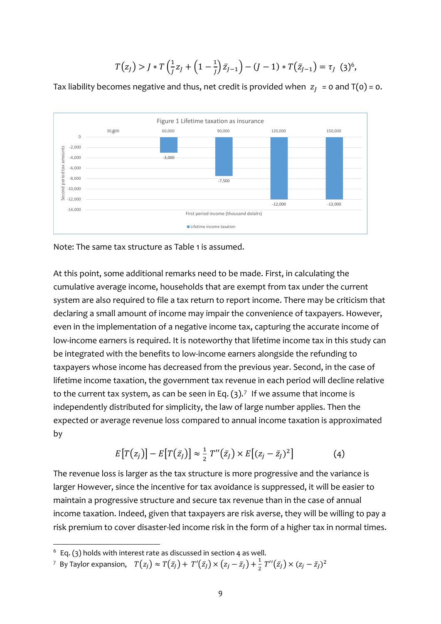$$
T(z_J) > J \ast T \left(\frac{1}{J}z_J + \left(1 - \frac{1}{J}\right)\bar{z}_{J-1}\right) - (J-1) \ast T(\bar{z}_{J-1}) = \tau_J \tag{3}^{6},
$$

Tax liability becomes negative and thus, net credit is provided when  $z_i = 0$  and  $T(0) = 0$ .



Note: The same tax structure as Table 1 is assumed.

At this point, some additional remarks need to be made. First, in calculating the cumulative average income, households that are exempt from tax under the current system are also required to file a tax return to report income. There may be criticism that declaring a small amount of income may impair the convenience of taxpayers. However, even in the implementation of a negative income tax, capturing the accurate income of low-income earners is required. It is noteworthy that lifetime income tax in this study can be integrated with the benefits to low-income earners alongside the refunding to taxpayers whose income has decreased from the previous year. Second, in the case of lifetime income taxation, the government tax revenue in each period will decline relative to the current tax system, as can be seen in Eq.  $(3)$ .<sup>[7](#page-8-1)</sup> If we assume that income is independently distributed for simplicity, the law of large number applies. Then the expected or average revenue loss compared to annual income taxation is approximated by

$$
E[T(z_j)] - E[T(\bar{z}_j)] \approx \frac{1}{2} T''(\bar{z}_j) \times E[(z_j - \bar{z}_j)^2]
$$
(4)

The revenue loss is larger as the tax structure is more progressive and the variance is larger However, since the incentive for tax avoidance is suppressed, it will be easier to maintain a progressive structure and secure tax revenue than in the case of annual income taxation. Indeed, given that taxpayers are risk averse, they will be willing to pay a risk premium to cover disaster-led income risk in the form of a higher tax in normal times.

<sup>7</sup> By Taylor expansion, 
$$
T(z_j) \approx T(\bar{z}_j) + T'(\bar{z}_j) \times (z_j - \bar{z}_j) + \frac{1}{2} T''(\bar{z}_j) \times (z_j - \bar{z}_j)^2
$$

<span id="page-8-1"></span><span id="page-8-0"></span> $6$  Eq. (3) holds with interest rate as discussed in section 4 as well.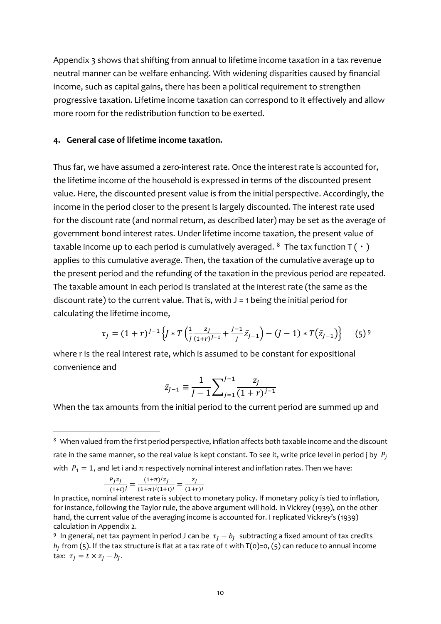Appendix 3 shows that shifting from annual to lifetime income taxation in a tax revenue neutral manner can be welfare enhancing. With widening disparities caused by financial income, such as capital gains, there has been a political requirement to strengthen progressive taxation. Lifetime income taxation can correspond to it effectively and allow more room for the redistribution function to be exerted.

#### **4. General case of lifetime income taxation.**

Thus far, we have assumed a zero-interest rate. Once the interest rate is accounted for, the lifetime income of the household is expressed in terms of the discounted present value. Here, the discounted present value is from the initial perspective. Accordingly, the income in the period closer to the present is largely discounted. The interest rate used for the discount rate (and normal return, as described later) may be set as the average of government bond interest rates. Under lifetime income taxation, the present value of taxable income up to each period is cumulatively averaged. <sup>[8](#page-9-0)</sup> The tax function  $T(\cdot)$ applies to this cumulative average. Then, the taxation of the cumulative average up to the present period and the refunding of the taxation in the previous period are repeated. The taxable amount in each period is translated at the interest rate (the same as the discount rate) to the current value. That is, with  $J = 1$  being the initial period for calculating the lifetime income,

$$
\tau_J = (1+r)^{J-1} \left\{ J * T \left( \frac{1}{J} \frac{z_J}{(1+r)^{J-1}} + \frac{J-1}{J} \bar{z}_{J-1} \right) - (J-1) * T(\bar{z}_{J-1}) \right\} \tag{5} \tag{5}
$$

where r is the real interest rate, which is assumed to be constant for expositional convenience and

$$
\bar{z}_{j-1} \equiv \frac{1}{j-1} \sum_{j=1}^{j-1} \frac{z_j}{(1+r)^{j-1}}
$$

When the tax amounts from the initial period to the current period are summed up and

$$
\frac{P_j z_j}{(1+i)^j} = \frac{(1+\pi)^j z_j}{(1+\pi)^j (1+i)^j} = \frac{z_j}{(1+r)^j}
$$

<span id="page-9-0"></span><sup>&</sup>lt;sup>8</sup> When valued from the first period perspective, inflation affects both taxable income and the discount rate in the same manner, so the real value is kept constant. To see it, write price level in period j by  $P_i$ with  $P_1 = 1$ , and let i and  $\pi$  respectively nominal interest and inflation rates. Then we have:

In practice, nominal interest rate is subject to monetary policy. If monetary policy is tied to inflation, for instance, following the Taylor rule, the above argument will hold. In Vickrey (1939), on the other hand, the current value of the averaging income is accounted for. I replicated Vickrey's (1939) calculation in Appendix 2.

<span id="page-9-1"></span><sup>9</sup> In general, net tax payment in period J can be  $\tau_I - b_I$  subtracting a fixed amount of tax credits  $b_I$  from (5). If the tax structure is flat at a tax rate of t with T(0)=0, (5) can reduce to annual income tax:  $\tau_i = t \times z_i - b_i$ .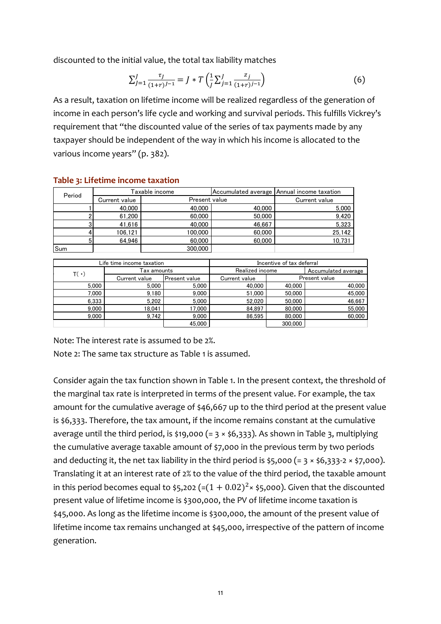discounted to the initial value, the total tax liability matches

$$
\sum_{j=1}^{J} \frac{\tau_j}{(1+r)^{j-1}} = J * T \left( \frac{1}{J} \sum_{j=1}^{J} \frac{z_j}{(1+r)^{j-1}} \right)
$$
(6)

As a result, taxation on lifetime income will be realized regardless of the generation of income in each person's life cycle and working and survival periods. This fulfills Vickrey's requirement that "the discounted value of the series of tax payments made by any taxpayer should be independent of the way in which his income is allocated to the various income years" (p. 382).

| Period | Taxable income |               |        | Accumulated average   Annual income taxation |
|--------|----------------|---------------|--------|----------------------------------------------|
|        | Current value  | Present value |        | Current value                                |
|        | 40,000         | 40,000        | 40,000 | 5,000                                        |
|        | 61.200         | 60,000        | 50,000 | 9,420                                        |
|        | 41.616         | 40,000        | 46,667 | 5,323                                        |
|        | 106.121        | 100.000       | 60,000 | 25.142                                       |
|        | 64.946         | 60,000        | 60,000 | 10.731                                       |
| Sum    |                | 300,000       |        |                                              |

## **Table 3: Lifetime income taxation**

Accumulated average Current value Present value Current value 5,000 5,000 5,000 40,000 40,000 40,000 7,000 **9,180 9,000 50,000 50,000** 50,000 50,000 50,000 50,000 50,000 50,000 50,000 50,000 50,000 50,000 50,000 50 6,333 5,202 5,000 52,020 50,000 46,667 9,000 18,041 17,000 84,897 80,000 55,000 9,000 9,742 9,000 86,595 80,000 60,000 45,000 300,000 Realized income Present value Incentive of tax deferral  $T(\cdot)$   $\overline{ax}$  amounts Life time income taxation

Note: The interest rate is assumed to be 2%.

Note 2: The same tax structure as Table 1 is assumed.

Consider again the tax function shown in Table 1. In the present context, the threshold of the marginal tax rate is interpreted in terms of the present value. For example, the tax amount for the cumulative average of \$46,667 up to the third period at the present value is \$6,333. Therefore, the tax amount, if the income remains constant at the cumulative average until the third period, is \$19,000 (= 3  $\times$  \$6,333). As shown in Table 3, multiplying the cumulative average taxable amount of \$7,000 in the previous term by two periods and deducting it, the net tax liability in the third period is  $$5,000 (= 3 \times $6,333-2 \times $7,000)$ . Translating it at an interest rate of 2% to the value of the third period, the taxable amount in this period becomes equal to \$5,202 (= $(1 + 0.02)^2 \times$  \$5,000). Given that the discounted present value of lifetime income is \$300,000, the PV of lifetime income taxation is \$45,000. As long as the lifetime income is \$300,000, the amount of the present value of lifetime income tax remains unchanged at \$45,000, irrespective of the pattern of income generation.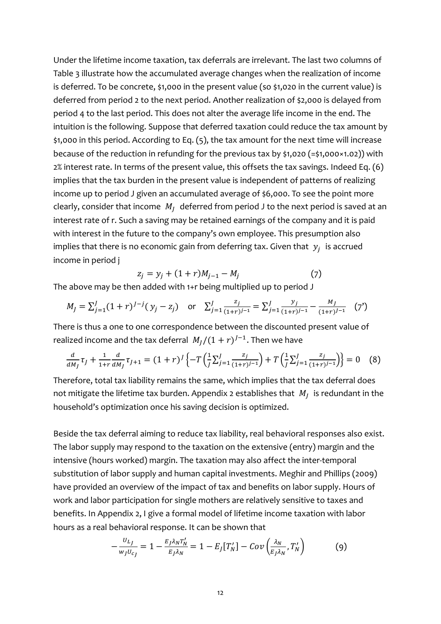Under the lifetime income taxation, tax deferrals are irrelevant. The last two columns of Table 3 illustrate how the accumulated average changes when the realization of income is deferred. To be concrete, \$1,000 in the present value (so \$1,020 in the current value) is deferred from period 2 to the next period. Another realization of \$2,000 is delayed from period 4 to the last period. This does not alter the average life income in the end. The intuition is the following. Suppose that deferred taxation could reduce the tax amount by \$1,000 in this period. According to Eq. (5), the tax amount for the next time will increase because of the reduction in refunding for the previous tax by \$1,020 (=\$1,000 $\times$ 1.02)) with 2% interest rate. In terms of the present value, this offsets the tax savings. Indeed Eq. (6) implies that the tax burden in the present value is independent of patterns of realizing income up to period J given an accumulated average of \$6,000. To see the point more clearly, consider that income  $M_t$  deferred from period J to the next period is saved at an interest rate of r. Such a saving may be retained earnings of the company and it is paid with interest in the future to the company's own employee. This presumption also implies that there is no economic gain from deferring tax. Given that  $y_i$  is accrued income in period j

$$
z_j = y_j + (1+r)M_{j-1} - M_j \tag{7}
$$

The above may be then added with 1+r being multiplied up to period J

$$
M_j = \sum_{j=1}^J (1+r)^{J-j} (y_j - z_j) \quad \text{or} \quad \sum_{j=1}^J \frac{z_j}{(1+r)^{j-1}} = \sum_{j=1}^J \frac{y_j}{(1+r)^{j-1}} - \frac{M_J}{(1+r)^{J-1}} \tag{7'}
$$

There is thus a one to one correspondence between the discounted present value of realized income and the tax deferral  $M_l/(1 + r)^{J-1}$ . Then we have

$$
\frac{d}{dM_J}\tau_J + \frac{1}{1+r}\frac{d}{dM_J}\tau_{J+1} = (1+r)^J \left\{ -T \left( \frac{1}{J} \sum_{j=1}^J \frac{z_j}{(1+r)^{j-1}} \right) + T \left( \frac{1}{J} \sum_{j=1}^J \frac{z_j}{(1+r)^{j-1}} \right) \right\} = 0 \quad (8)
$$

Therefore, total tax liability remains the same, which implies that the tax deferral does not mitigate the lifetime tax burden. Appendix 2 establishes that  $M_i$  is redundant in the household's optimization once his saving decision is optimized.

Beside the tax deferral aiming to reduce tax liability, real behavioral responses also exist. The labor supply may respond to the taxation on the extensive (entry) margin and the intensive (hours worked) margin. The taxation may also affect the inter-temporal substitution of labor supply and human capital investments. Meghir and Phillips (2009) have provided an overview of the impact of tax and benefits on labor supply. Hours of work and labor participation for single mothers are relatively sensitive to taxes and benefits. In Appendix 2, I give a formal model of lifetime income taxation with labor hours as a real behavioral response. It can be shown that

$$
-\frac{U_{L_J}}{w_J U_{c_J}} = 1 - \frac{E_J \lambda_N T_N'}{E_J \lambda_N} = 1 - E_J[T_N'] - Cov\left(\frac{\lambda_N}{E_J \lambda_N}, T_N'\right) \tag{9}
$$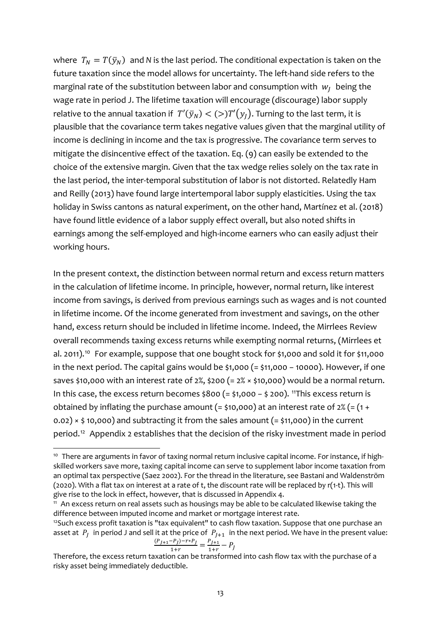where  $T_N = T(\bar{y}_N)$  and *N* is the last period. The conditional expectation is taken on the future taxation since the model allows for uncertainty. The left-hand side refers to the marginal rate of the substitution between labor and consumption with  $w_I$  being the wage rate in period J. The lifetime taxation will encourage (discourage) labor supply relative to the annual taxation if  $T'(\bar{y}_N) < (>)T'(y_1)$ . Turning to the last term, it is plausible that the covariance term takes negative values given that the marginal utility of income is declining in income and the tax is progressive. The covariance term serves to mitigate the disincentive effect of the taxation. Eq. (9) can easily be extended to the choice of the extensive margin. Given that the tax wedge relies solely on the tax rate in the last period, the inter-temporal substitution of labor is not distorted. Relatedly Ham and Reilly (2013) have found large intertemporal labor supply elasticities. Using the tax holiday in Swiss cantons as natural experiment, on the other hand, Martínez et al. (2018) have found little evidence of a labor supply effect overall, but also noted shifts in earnings among the self-employed and high-income earners who can easily adjust their working hours.

In the present context, the distinction between normal return and excess return matters in the calculation of lifetime income. In principle, however, normal return, like interest income from savings, is derived from previous earnings such as wages and is not counted in lifetime income. Of the income generated from investment and savings, on the other hand, excess return should be included in lifetime income. Indeed, the Mirrlees Review overall recommends taxing excess returns while exempting normal returns, (Mirrlees et al. 2011).<sup>[10](#page-12-0)</sup> For example, suppose that one bought stock for \$1,000 and sold it for \$11,000 in the next period. The capital gains would be \$1,000 (= \$11,000 − 10000). However, if one saves \$10,000 with an interest rate of  $2\%$ , \$200 (=  $2\% \times$  \$10,000) would be a normal return. In this case, the excess return becomes \$800 (= \$1,000 − \$ 200). [11](#page-12-1)This excess return is obtained by inflating the purchase amount (= \$10,000) at an interest rate of  $2\%$  (= (1 +  $(0.02) \times$  \$10,000) and subtracting it from the sales amount (= \$11,000) in the current period.<sup>12</sup> Appendix 2 establishes that the decision of the risky investment made in period

$$
\frac{(P_{J+1}-P_J)-r*P_J}{1+r} = \frac{P_{J+1}}{1+r} - P_J
$$

<span id="page-12-0"></span><sup>&</sup>lt;sup>10</sup> There are arguments in favor of taxing normal return inclusive capital income. For instance, if highskilled workers save more, taxing capital income can serve to supplement labor income taxation from an optimal tax perspective (Saez 2002). For the thread in the literature, see Bastani and Waldenström (2020). With a flat tax on interest at a rate of t, the discount rate will be replaced by r(1-t). This will give rise to the lock in effect, however, that is discussed in Appendix 4.

<span id="page-12-1"></span><sup>&</sup>lt;sup>11</sup> An excess return on real assets such as housings may be able to be calculated likewise taking the difference between imputed income and market or mortgage interest rate.

<span id="page-12-2"></span><sup>&</sup>lt;sup>12</sup>Such excess profit taxation is "tax equivalent" to cash flow taxation. Suppose that one purchase an asset at  $P_J$  in period J and sell it at the price of  $P_{J+1}$  in the next period. We have in the present value:<br> $P_{J+1} - P_{J+1}P_{J+1} = P_{J+1} - P_{J+1}P_{J+1}$ 

Therefore, the excess return taxation can be transformed into cash flow tax with the purchase of a risky asset being immediately deductible.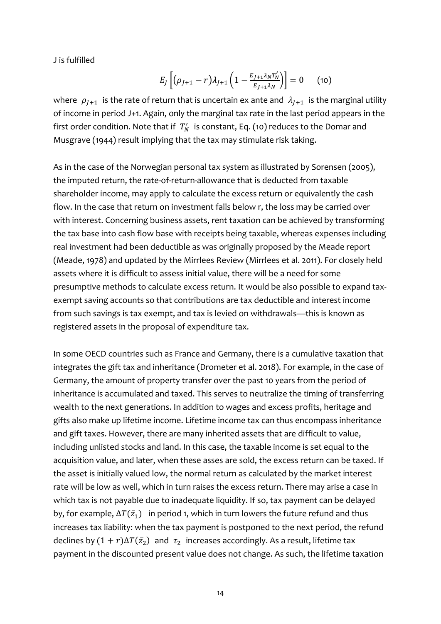J is fulfilled

$$
E_J\left[ (\rho_{J+1} - r) \lambda_{J+1} \left( 1 - \frac{E_{J+1} \lambda_N T_N'}{E_{J+1} \lambda_N} \right) \right] = 0 \quad (10)
$$

where  $\rho_{I+1}$  is the rate of return that is uncertain ex ante and  $\lambda_{I+1}$  is the marginal utility of income in period J+1. Again, only the marginal tax rate in the last period appears in the first order condition. Note that if  $\ T'_N\;$  is constant, Eq. (10) reduces to the Domar and Musgrave (1944) result implying that the tax may stimulate risk taking.

As in the case of the Norwegian personal tax system as illustrated by Sorensen (2005), the imputed return, the rate-of-return-allowance that is deducted from taxable shareholder income, may apply to calculate the excess return or equivalently the cash flow. In the case that return on investment falls below r, the loss may be carried over with interest. Concerning business assets, rent taxation can be achieved by transforming the tax base into cash flow base with receipts being taxable, whereas expenses including real investment had been deductible as was originally proposed by the Meade report (Meade, 1978) and updated by the Mirrlees Review (Mirrlees et al. 2011). For closely held assets where it is difficult to assess initial value, there will be a need for some presumptive methods to calculate excess return. It would be also possible to expand taxexempt saving accounts so that contributions are tax deductible and interest income from such savings is tax exempt, and tax is levied on withdrawals—this is known as registered assets in the proposal of expenditure tax.

In some OECD countries such as France and Germany, there is a cumulative taxation that integrates the gift tax and inheritance (Drometer et al. 2018). For example, in the case of Germany, the amount of property transfer over the past 10 years from the period of inheritance is accumulated and taxed. This serves to neutralize the timing of transferring wealth to the next generations. In addition to wages and excess profits, heritage and gifts also make up lifetime income. Lifetime income tax can thus encompass inheritance and gift taxes. However, there are many inherited assets that are difficult to value, including unlisted stocks and land. In this case, the taxable income is set equal to the acquisition value, and later, when these asses are sold, the excess return can be taxed. If the asset is initially valued low, the normal return as calculated by the market interest rate will be low as well, which in turn raises the excess return. There may arise a case in which tax is not payable due to inadequate liquidity. If so, tax payment can be delayed by, for example,  $\Delta T(\bar{z}_1)$  in period 1, which in turn lowers the future refund and thus increases tax liability: when the tax payment is postponed to the next period, the refund declines by  $(1 + r)\Delta T(\bar{z}_2)$  and  $\tau_2$  increases accordingly. As a result, lifetime tax payment in the discounted present value does not change. As such, the lifetime taxation

14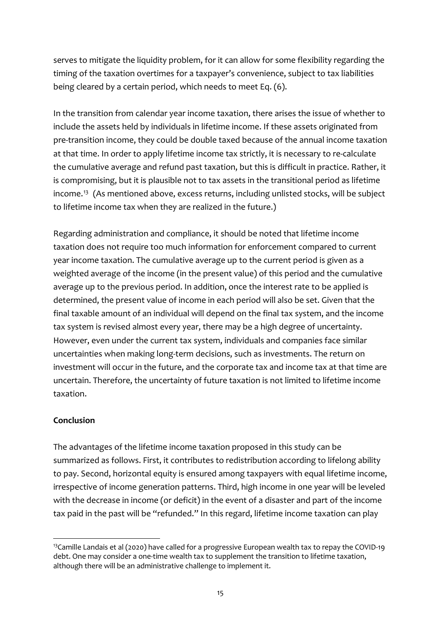serves to mitigate the liquidity problem, for it can allow for some flexibility regarding the timing of the taxation overtimes for a taxpayer's convenience, subject to tax liabilities being cleared by a certain period, which needs to meet Eq. (6).

In the transition from calendar year income taxation, there arises the issue of whether to include the assets held by individuals in lifetime income. If these assets originated from pre-transition income, they could be double taxed because of the annual income taxation at that time. In order to apply lifetime income tax strictly, it is necessary to re-calculate the cumulative average and refund past taxation, but this is difficult in practice. Rather, it is compromising, but it is plausible not to tax assets in the transitional period as lifetime income.<sup>[13](#page-14-0)</sup> (As mentioned above, excess returns, including unlisted stocks, will be subject to lifetime income tax when they are realized in the future.)

Regarding administration and compliance, it should be noted that lifetime income taxation does not require too much information for enforcement compared to current year income taxation. The cumulative average up to the current period is given as a weighted average of the income (in the present value) of this period and the cumulative average up to the previous period. In addition, once the interest rate to be applied is determined, the present value of income in each period will also be set. Given that the final taxable amount of an individual will depend on the final tax system, and the income tax system is revised almost every year, there may be a high degree of uncertainty. However, even under the current tax system, individuals and companies face similar uncertainties when making long-term decisions, such as investments. The return on investment will occur in the future, and the corporate tax and income tax at that time are uncertain. Therefore, the uncertainty of future taxation is not limited to lifetime income taxation.

# **Conclusion**

The advantages of the lifetime income taxation proposed in this study can be summarized as follows. First, it contributes to redistribution according to lifelong ability to pay. Second, horizontal equity is ensured among taxpayers with equal lifetime income, irrespective of income generation patterns. Third, high income in one year will be leveled with the decrease in income (or deficit) in the event of a disaster and part of the income tax paid in the past will be "refunded." In this regard, lifetime income taxation can play

<span id="page-14-0"></span><sup>&</sup>lt;sup>13</sup>Camille Landais et al (2020) have called for a progressive European wealth tax to repay the COVID-19 debt. One may consider a one-time wealth tax to supplement the transition to lifetime taxation, although there will be an administrative challenge to implement it.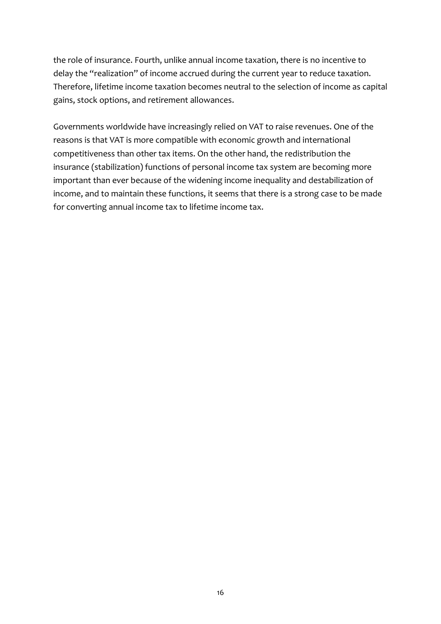the role of insurance. Fourth, unlike annual income taxation, there is no incentive to delay the "realization" of income accrued during the current year to reduce taxation. Therefore, lifetime income taxation becomes neutral to the selection of income as capital gains, stock options, and retirement allowances.

Governments worldwide have increasingly relied on VAT to raise revenues. One of the reasons is that VAT is more compatible with economic growth and international competitiveness than other tax items. On the other hand, the redistribution the insurance (stabilization) functions of personal income tax system are becoming more important than ever because of the widening income inequality and destabilization of income, and to maintain these functions, it seems that there is a strong case to be made for converting annual income tax to lifetime income tax.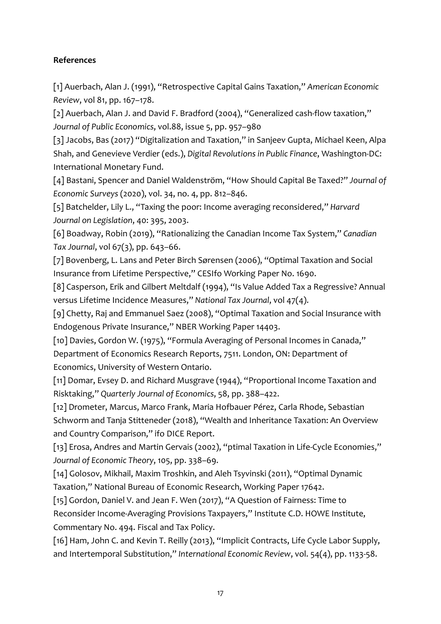# **References**

[1] Auerbach, Alan J. (1991), "Retrospective Capital Gains Taxation," *American Economic Review*, vol 81, pp. 167–178.

[2] Auerbach, Alan J. and David F. Bradford (2004), "Generalized cash-flow taxation," *Journal of Public Economics*, vol.88, issue 5, pp. 957–980

[3] Jacobs, Bas (2017) "Digitalization and Taxation," in Sanjeev Gupta, Michael Keen, Alpa Shah, and Genevieve Verdier (eds.), *Digital Revolutions in Public Finance*, Washington-DC: International Monetary Fund.

[4] Bastani, Spencer and Daniel Waldenström, "How Should Capital Be Taxed?" *Journal of Economic Surveys* (2020), vol. 34, no. 4, pp. 812–846.

[5] Batchelder, Lily L., "Taxing the poor: Income averaging reconsidered," *Harvard Journal on Legislation*, 40: 395, 2003.

[6] Boadway, Robin (2019), "Rationalizing the Canadian Income Tax System," *Canadian Tax Journal*, vol 67(3), pp. 643–66.

[7] Bovenberg, L. Lans and Peter Birch Sørensen (2006), "Optimal Taxation and Social Insurance from Lifetime Perspective," CESIfo Working Paper No. 1690.

[8] Casperson, Erik and Gilbert Meltdalf (1994), "Is Value Added Tax a Regressive? Annual versus Lifetime Incidence Measures," *National Tax Journal*, vol 47(4).

[9] Chetty, Raj and Emmanuel Saez (2008), "Optimal Taxation and Social Insurance with Endogenous Private Insurance," NBER Working Paper 14403.

[10] Davies, Gordon W. (1975), "Formula Averaging of Personal Incomes in Canada," Department of Economics Research Reports, 7511. London, ON: Department of Economics, University of Western Ontario.

[11] Domar, Evsey D. and Richard Musgrave (1944), "Proportional Income Taxation and Risktaking," *Quarterly Journal of Economics*, 58, pp. 388–422.

[12] Drometer, Marcus, Marco Frank, Maria Hofbauer Pérez, Carla Rhode, Sebastian Schworm and Tanja Stitteneder (2018), "Wealth and Inheritance Taxation: An Overview and Country Comparison," ifo DICE Report.

[13] Erosa, Andres and Martin Gervais (2002), "ptimal Taxation in Life-Cycle Economies," *Journal of Economic Theory*, 105, pp. 338–69.

[14] Golosov, Mikhail, Maxim Troshkin, and Aleh Tsyvinski (2011), "Optimal Dynamic Taxation," National Bureau of Economic Research, Working Paper 17642.

[15] Gordon, Daniel V. and Jean F. Wen (2017), "A Question of Fairness: Time to Reconsider Income-Averaging Provisions Taxpayers," Institute C.D. HOWE Institute, Commentary No. 494. Fiscal and Tax Policy.

[16] Ham, John C. and Kevin T. Reilly (2013), "Implicit Contracts, Life Cycle Labor Supply, and Intertemporal Substitution," *International Economic Review*, vol. 54(4), pp. 1133-58.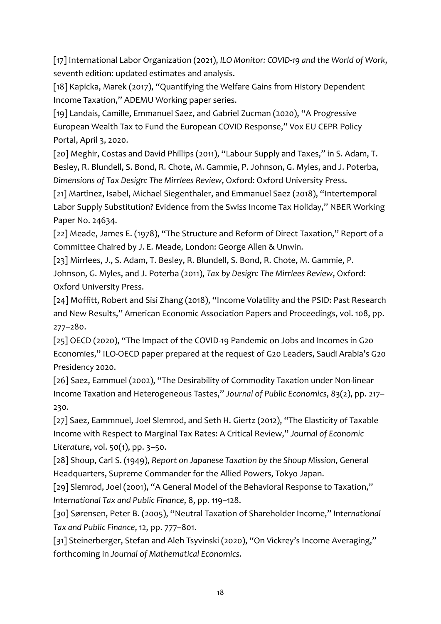[17] International Labor Organization (2021), *ILO Monitor: COVID-19 and the World of Work*, seventh edition: updated estimates and analysis.

[18] Kapicka, Marek (2017), "Quantifying the Welfare Gains from History Dependent Income Taxation," ADEMU Working paper series.

[19] Landais, Camille, Emmanuel Saez, and Gabriel Zucman (2020), "A Progressive European Wealth Tax to Fund the European COVID Response," Vox EU CEPR Policy Portal, April 3, 2020.

[20] Meghir, Costas and David Phillips (2011), "Labour Supply and Taxes," in S. Adam, T. Besley, R. Blundell, S. Bond, R. Chote, M. Gammie, P. Johnson, G. Myles, and J. Poterba, *Dimensions of Tax Design: The Mirrlees Review*, Oxford: Oxford University Press.

[21] Martìnez, Isabel, Michael Siegenthaler, and Emmanuel Saez (2018), "Intertemporal Labor Supply Substitution? Evidence from the Swiss Income Tax Holiday," NBER Working Paper No. 24634.

[22] Meade, James E. (1978), "The Structure and Reform of Direct Taxation," Report of a Committee Chaired by J. E. Meade, London: George Allen & Unwin.

[23] Mirrlees, J., S. Adam, T. Besley, R. Blundell, S. Bond, R. Chote, M. Gammie, P. Johnson, G. Myles, and J. Poterba (2011), *Tax by Design: The Mirrlees Review*, Oxford: Oxford University Press.

[24] Moffitt, Robert and Sisi Zhang (2018), "Income Volatility and the PSID: Past Research and New Results," American Economic Association Papers and Proceedings, vol. 108, pp. 277–280.

[25] OECD (2020), "The Impact of the COVID-19 Pandemic on Jobs and Incomes in G20 Economies," ILO-OECD paper prepared at the request of G20 Leaders, Saudi Arabia's G20 Presidency 2020.

[26] Saez, Eammuel (2002), "The Desirability of Commodity Taxation under Non-linear Income Taxation and Heterogeneous Tastes," *Journal of Public Economics*, 83(2), pp. 217– 230.

[27] Saez, Eammnuel, Joel Slemrod, and Seth H. Giertz (2012), "The Elasticity of Taxable Income with Respect to Marginal Tax Rates: A Critical Review," *Journal of Economic Literature*, vol. 50(1), pp. 3–50.

[28] Shoup, Carl S. (1949), *Report on Japanese Taxation by the Shoup Mission*, General Headquarters, Supreme Commander for the Allied Powers, Tokyo Japan.

[29] Slemrod, Joel (2001), "A General Model of the Behavioral Response to Taxation," *International Tax and Public Finance*, 8, pp. 119–128.

[30] Sørensen, Peter B. (2005), "Neutral Taxation of Shareholder Income," *International Tax and Public Finance*, 12, pp. 777–801.

[31] Steinerberger, Stefan and Aleh Tsyvinski (2020), "On Vickrey's Income Averaging," forthcoming in *Journal of Mathematical Economics*.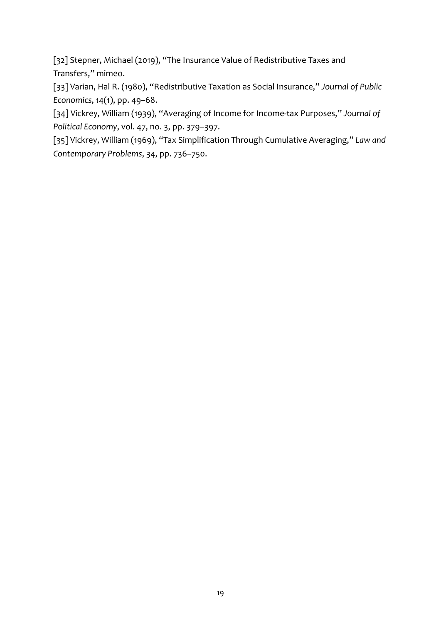[32] Stepner, Michael (2019), "The Insurance Value of Redistributive Taxes and Transfers," mimeo.

[33] Varian, Hal R. (1980), "Redistributive Taxation as Social Insurance," *Journal of Public Economics*, 14(1), pp. 49–68.

[34] Vickrey, William (1939), "Averaging of Income for Income-tax Purposes," *Journal of Political Economy*, vol. 47, no. 3, pp. 379–397.

[35] Vickrey, William (1969), "Tax Simplification Through Cumulative Averaging," *Law and Contemporary Problems*, 34, pp. 736–750.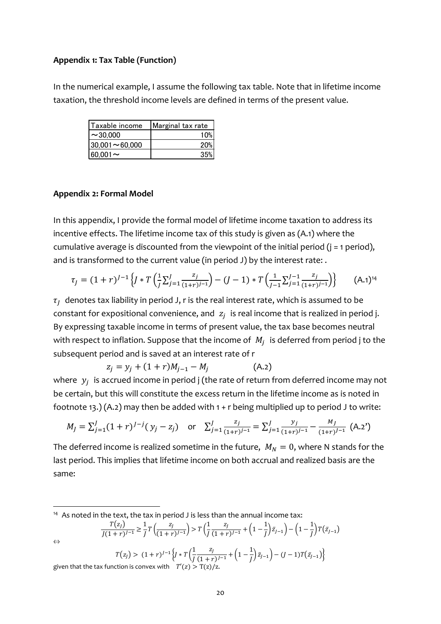#### **Appendix 1: Tax Table (Function)**

In the numerical example, I assume the following tax table. Note that in lifetime income taxation, the threshold income levels are defined in terms of the present value.

| Taxable income       | Marginal tax rate |  |  |
|----------------------|-------------------|--|--|
| $\sim$ 30.000        | 10%               |  |  |
| $30,001 \sim 60,000$ | 20%               |  |  |
| $ 60,001 \sim$       | 35%               |  |  |

#### **Appendix 2: Formal Model**

⇔

In this appendix, I provide the formal model of lifetime income taxation to address its incentive effects. The lifetime income tax of this study is given as (A.1) where the cumulative average is discounted from the viewpoint of the initial period  $(i = 1$  period), and is transformed to the current value (in period J) by the interest rate: .

$$
\tau_J = (1+r)^{J-1} \left\{ J * T \left( \frac{1}{J} \sum_{j=1}^J \frac{z_j}{(1+r)^{J-1}} \right) - (J-1) * T \left( \frac{1}{J-1} \sum_{j=1}^{J-1} \frac{z_j}{(1+r)^{J-1}} \right) \right\}
$$
 (A.1)<sup>14</sup>

 $\tau_I$  denotes tax liability in period J, r is the real interest rate, which is assumed to be constant for expositional convenience, and  $z_i$  is real income that is realized in period j. By expressing taxable income in terms of present value, the tax base becomes neutral with respect to inflation. Suppose that the income of  $M_i$  is deferred from period j to the subsequent period and is saved at an interest rate of r

$$
z_j = y_j + (1+r)M_{j-1} - M_j \tag{A.2}
$$

where  $y_i$  is accrued income in period j (the rate of return from deferred income may not be certain, but this will constitute the excess return in the lifetime income as is noted in footnote 13.) (A.2) may then be added with  $1 + r$  being multiplied up to period J to write:

$$
M_J = \sum_{j=1}^{J} (1+r)^{J-j} (y_j - z_j) \quad \text{or} \quad \sum_{j=1}^{J} \frac{z_j}{(1+r)^{j-1}} = \sum_{j=1}^{J} \frac{y_j}{(1+r)^{j-1}} - \frac{M_J}{(1+r)^{J-1}} (A.2')
$$

The deferred income is realized sometime in the future,  $M_N = 0$ , where N stands for the last period. This implies that lifetime income on both accrual and realized basis are the same:

<span id="page-19-0"></span><sup>14</sup> As noted in the text, the tax in period J is less than the annual income tax:

$$
\frac{T(z_j)}{J(1+r)^{J-1}} \ge \frac{1}{J} T\left(\frac{z_j}{(1+r)^{J-1}}\right) > T\left(\frac{1}{J}\frac{z_j}{(1+r)^{J-1}} + \left(1 - \frac{1}{J}\right)\bar{z}_{J-1}\right) - \left(1 - \frac{1}{J}\right) T(\bar{z}_{J-1})
$$

$$
T(z_J) > (1+r)^{J-1} \left\{ J * T \left( \frac{1}{J} \frac{z_J}{(1+r)^{J-1}} + \left( 1 - \frac{1}{J} \right) \bar{z}_{J-1} \right) - (J-1)T(\bar{z}_{J-1}) \right\}
$$
  
given that the tax function is convex with  $T'(z) > T(z)/z$ .

20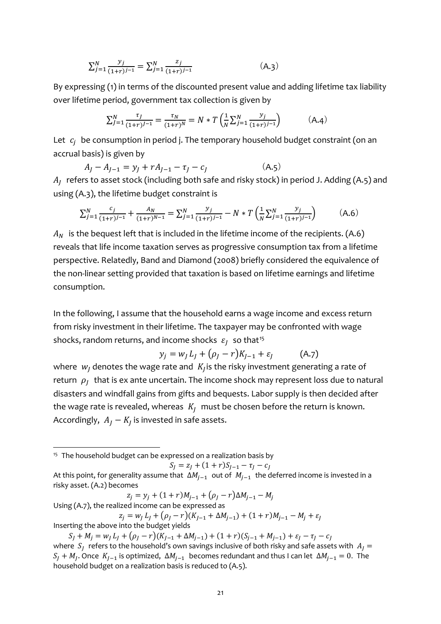$$
\sum_{j=1}^{N} \frac{y_j}{(1+r)^{j-1}} = \sum_{j=1}^{N} \frac{z_j}{(1+r)^{j-1}} \tag{A.3}
$$

By expressing (1) in terms of the discounted present value and adding lifetime tax liability over lifetime period, government tax collection is given by

$$
\sum_{j=1}^{N} \frac{\tau_j}{(1+r)^{j-1}} = \frac{\tau_N}{(1+r)^N} = N * T \left( \frac{1}{N} \sum_{j=1}^{N} \frac{y_j}{(1+r)^{j-1}} \right) \tag{A.4}
$$

Let  $c_i$  be consumption in period j. The temporary household budget constraint (on an accrual basis) is given by

$$
A_{J} - A_{J-1} = y_{J} + rA_{J-1} - \tau_{J} - c_{J}
$$
 (A.5)

 $A_I$  refers to asset stock (including both safe and risky stock) in period J. Adding (A.5) and using (A.3), the lifetime budget constraint is

$$
\sum_{j=1}^{N} \frac{c_j}{(1+r)^{j-1}} + \frac{A_N}{(1+r)^{N-1}} = \sum_{j=1}^{N} \frac{y_j}{(1+r)^{j-1}} - N \times T \left( \frac{1}{N} \sum_{j=1}^{N} \frac{y_j}{(1+r)^{j-1}} \right) \tag{A.6}
$$

 $A<sub>N</sub>$  is the bequest left that is included in the lifetime income of the recipients. (A.6) reveals that life income taxation serves as progressive consumption tax from a lifetime perspective. Relatedly, Band and Diamond (2008) briefly considered the equivalence of the non-linear setting provided that taxation is based on lifetime earnings and lifetime consumption.

In the following, I assume that the household earns a wage income and excess return from risky investment in their lifetime. The taxpayer may be confronted with wage shocks, random returns, and income shocks  $\varepsilon_1$  so that<sup>[15](#page-20-0)</sup>

$$
y_j = w_j L_j + (\rho_j - r)K_{j-1} + \varepsilon_j \tag{A.7}
$$

where  $w_i$  denotes the wage rate and  $K_i$  is the risky investment generating a rate of return  $\rho_I$  that is ex ante uncertain. The income shock may represent loss due to natural disasters and windfall gains from gifts and bequests. Labor supply is then decided after the wage rate is revealed, whereas  $K_I$  must be chosen before the return is known. Accordingly,  $A_I - K_I$  is invested in safe assets.

<span id="page-20-0"></span><sup>15</sup> The household budget can be expressed on a realization basis by

 $S_I = z_I + (1 + r)S_{I-1} - \tau_I - c_I$ 

 $z_i = y_i + (1 + r)M_{i-1} + (\rho_i - r)\Delta M_{i-1} - M_i$ Using (A.7), the realized income can be expressed as  $z_i = w_l L_l + (\rho_l - r)(K_{l-1} + \Delta M_{l-1}) + (1 + r)M_{l-1} - M_l + \varepsilon_l$ 

Inserting the above into the budget yields

At this point, for generality assume that  $\Delta M_{i-1}$  out of  $M_{i-1}$  the deferred income is invested in a risky asset. (A.2) becomes

 $S_j + M_j = w_j L_j + (\rho_j - r)(K_{j-1} + \Delta M_{j-1}) + (1+r)(S_{j-1} + M_{j-1}) + \varepsilon_j - \tau_j - c_j$ where  $S_I$  refers to the household's own savings inclusive of both risky and safe assets with  $A_I =$  $S_1 + M_1$ . Once  $K_{1-1}$  is optimized,  $\Delta M_{i-1}$  becomes redundant and thus I can let  $\Delta M_{i-1} = 0$ . The household budget on a realization basis is reduced to (A.5).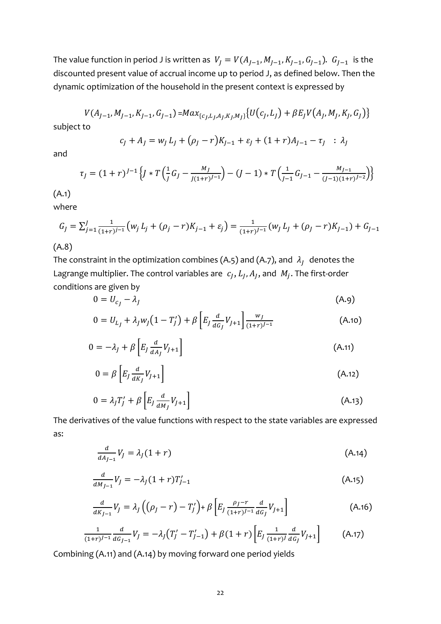The value function in period J is written as  $V_I = V(A_{I-1}, M_{I-1}, K_{I-1}, G_{I-1})$ .  $G_{I-1}$  is the discounted present value of accrual income up to period J, as defined below. Then the dynamic optimization of the household in the present context is expressed by

$$
V(A_{J-1}, M_{J-1}, K_{J-1}, G_{J-1}) = Max_{\{c_J, L_J, A_J, K_J, M_J\}} \{U(c_J, L_J) + \beta E_J V(A_J, M_J, K_J, G_J)\}
$$

subject to

$$
c_j + A_j = w_j L_j + (\rho_j - r)K_{j-1} + \varepsilon_j + (1+r)A_{j-1} - \tau_j \; : \; \lambda_j
$$

and

$$
\tau_J = (1+r)^{J-1} \left\{ J \ast T \left( \frac{1}{J} G_J - \frac{M_J}{J(1+r)^{J-1}} \right) - (J-1) \ast T \left( \frac{1}{J-1} G_{J-1} - \frac{M_{J-1}}{(J-1)(1+r)^{J-2}} \right) \right\}
$$

(A.1)

where

$$
G_J = \sum_{j=1}^J \frac{1}{(1+r)^{j-1}} \left( w_j L_j + (\rho_j - r) K_{j-1} + \varepsilon_j \right) = \frac{1}{(1+r)^{J-1}} \left( w_J L_j + (\rho_j - r) K_{j-1} \right) + G_{J-1}
$$

# (A.8)

The constraint in the optimization combines (A.5) and (A.7), and  $\lambda_I$  denotes the Lagrange multiplier. The control variables are  $c_l$ ,  $L_l$ ,  $A_l$ , and  $M_l$ . The first-order conditions are given by

$$
0 = U_{c_J} - \lambda_J \tag{A.9}
$$

$$
0 = U_{L_J} + \lambda_j w_j \left(1 - T_j'\right) + \beta \left[E_j \frac{d}{d G_j} V_{j+1}\right] \frac{w_j}{(1+r)^{j-1}}
$$
(A.10)

$$
0 = -\lambda_j + \beta \left[ E_j \frac{d}{dA_j} V_{j+1} \right]
$$
 (A.11)

$$
0 = \beta \left[ E_J \frac{d}{dK_J} V_{J+1} \right] \tag{A.12}
$$

$$
0 = \lambda_j T'_j + \beta \left[ E_j \frac{d}{dM_j} V_{j+1} \right] \tag{A.13}
$$

The derivatives of the value functions with respect to the state variables are expressed as:

$$
\frac{d}{dA_{J-1}}V_J = \lambda_J(1+r) \tag{A.14}
$$

$$
\frac{d}{dM_{J-1}}V_J = -\lambda_J (1+r)T'_{J-1} \tag{A.15}
$$

$$
\frac{d}{dK_{J-1}}V_J = \lambda_J \left( (\rho_J - r) - T'_J \right) + \beta \left[ E_J \frac{\rho_J - r}{(1+r)^{J-1}} \frac{d}{dG_J} V_{J+1} \right]
$$
(A.16)

$$
\frac{1}{(1+r)^{J-1}}\frac{d}{dG_{J-1}}V_J = -\lambda_J(T'_J - T'_{J-1}) + \beta(1+r)\left[E_J\frac{1}{(1+r)^J}\frac{d}{dG_J}V_{J+1}\right] \tag{A.17}
$$

Combining (A.11) and (A.14) by moving forward one period yields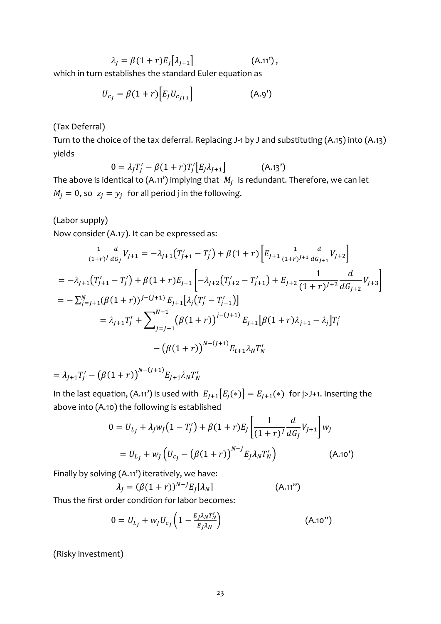$\lambda_I = \beta (1 + r) E_I[\lambda_{I+1}]$  (A.11'),

which in turn establishes the standard Euler equation as

$$
U_{c_j} = \beta (1+r) \Big[ E_j U_{c_{j+1}} \Big] \tag{A.9'}
$$

(Tax Deferral)

Turn to the choice of the tax deferral. Replacing J-1 by J and substituting (A.15) into (A.13) yields

 $0 = \lambda_j T'_j - \beta (1+r) T'_j [E_j \lambda_{j+1}]$  (A.13') The above is identical to (A.11') implying that  $M_i$  is redundant. Therefore, we can let  $M_i = 0$ , so  $z_i = y_i$  for all period j in the following.

(Labor supply)

Now consider (A.17). It can be expressed as:

$$
\frac{1}{(1+r)^{j}} \frac{d}{d G_{j}} V_{j+1} = -\lambda_{j+1} (T'_{j+1} - T'_{j}) + \beta (1+r) \left[ E_{j+1} \frac{1}{(1+r)^{j+1}} \frac{d}{d G_{j+1}} V_{j+2} \right]
$$
  
\n
$$
= -\lambda_{j+1} (T'_{j+1} - T'_{j}) + \beta (1+r) E_{j+1} \left[ -\lambda_{j+2} (T'_{j+2} - T'_{j+1}) + E_{j+2} \frac{1}{(1+r)^{j+2}} \frac{d}{d G_{j+2}} V_{j+3} \right]
$$
  
\n
$$
= -\sum_{j=j+1}^{N} (\beta (1+r))^{j-(j+1)} E_{j+1} [\lambda_{j} (T'_{j} - T'_{j-1})]
$$
  
\n
$$
= \lambda_{j+1} T'_{j} + \sum_{j=j+1}^{N-1} (\beta (1+r))^{j-(j+1)} E_{j+1} [\beta (1+r) \lambda_{j+1} - \lambda_{j}] T'_{j}
$$
  
\n
$$
- (\beta (1+r))^{N-(j+1)} E_{t+1} \lambda_{N} T'_{N}
$$

 $= \lambda_{J+1} T'_J - (\beta (1+r))^{N-(J+1)} E_{J+1} \lambda_N T'_N$ 

In the last equation, (A.11') is used with  $E_{I+1}[E_i(*)] = E_{I+1}(*)$  for j>J+1. Inserting the above into (A.10) the following is established

$$
0 = U_{L_J} + \lambda_j w_J (1 - T'_J) + \beta (1 + r) E_J \left[ \frac{1}{(1 + r)^J} \frac{d}{dG_J} V_{J+1} \right] w_J
$$
  
=  $U_{L_J} + w_J \left( U_{c_J} - (\beta (1 + r))^{N-J} E_J \lambda_N T'_N \right)$  (A.10')

Finally by solving (A.11') iteratively, we have:

$$
\lambda_J = (\beta(1+r))^{N-J} E_J[\lambda_N] \tag{A.11'}
$$

Thus the first order condition for labor becomes:

$$
0 = U_{L_f} + w_J U_{c_J} \left( 1 - \frac{E_J \lambda_N T_N'}{E_J \lambda_N} \right) \tag{A.10'}
$$

(Risky investment)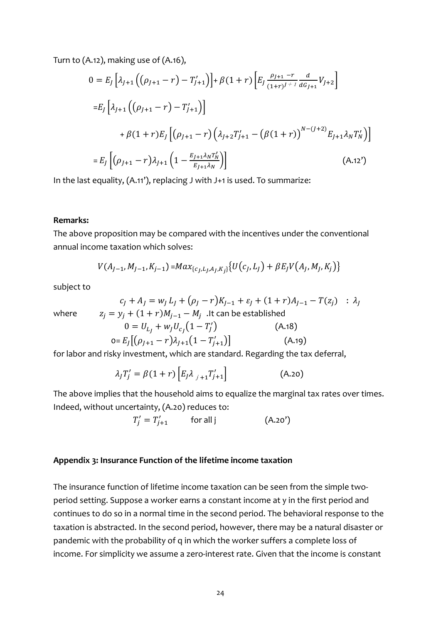Turn to (A.12), making use of (A.16),

$$
0 = E_J \left[ \lambda_{J+1} \left( (\rho_{J+1} - r) - T'_{J+1} \right) \right] + \beta (1+r) \left[ E_J \frac{\rho_{J+1} - r}{(1+r)^{J+1}} \frac{d}{dG_{J+1}} V_{J+2} \right]
$$
  
\n
$$
= E_J \left[ \lambda_{J+1} \left( (\rho_{J+1} - r) - T'_{J+1} \right) \right]
$$
  
\n
$$
+ \beta (1+r) E_J \left[ (\rho_{J+1} - r) \left( \lambda_{J+2} T'_{J+1} - (\beta (1+r))^{N-(J+2)} E_{J+1} \lambda_N T'_N \right) \right]
$$
  
\n
$$
= E_J \left[ (\rho_{J+1} - r) \lambda_{J+1} \left( 1 - \frac{E_{J+1} \lambda_N T'_N}{E_{J+1} \lambda_N} \right) \right]
$$
 (A.12')

In the last equality, (A.11'), replacing J with J+1 is used. To summarize:

#### **Remarks:**

The above proposition may be compared with the incentives under the conventional annual income taxation which solves:

$$
V(A_{J-1}, M_{J-1}, K_{j-1}) = Max_{\{c_J, L_J, A_J, K_j\}} \{U(c_J, L_J) + \beta E_J V(A_J, M_J, K_j)\}
$$

subject to

$$
c_j + A_j = w_j L_j + (\rho_j - r)K_{j-1} + \varepsilon_j + (1+r)A_{j-1} - T(z_j) \quad : \lambda_j
$$

where 
$$
z_j = y_j + (1+r)M_{j-1} - M_j
$$
. It can be established  
  $0 = II_1 + w_J I_2 (1 - T'_1)$  (A.18)

$$
0 = U_{L_j} + w_j U_{c_j} (1 - T'_j)
$$
(A.18)  
0=  $E_j[(\rho_{j+1} - r)\lambda_{j+1}(1 - T'_{j+1})]$  (A.19)

for labor and risky investment, which are standard. Regarding the tax deferral,

$$
\lambda_j T_j' = \beta (1+r) \left[ E_j \lambda_{j+1} T_{j+1}' \right]
$$
 (A.20)

The above implies that the household aims to equalize the marginal tax rates over times. Indeed, without uncertainty, (A.20) reduces to:

$$
T'_j = T'_{j+1} \qquad \text{for all } j \tag{A.20'}
$$

#### **Appendix 3: Insurance Function of the lifetime income taxation**

The insurance function of lifetime income taxation can be seen from the simple twoperiod setting. Suppose a worker earns a constant income at y in the first period and continues to do so in a normal time in the second period. The behavioral response to the taxation is abstracted. In the second period, however, there may be a natural disaster or pandemic with the probability of q in which the worker suffers a complete loss of income. For simplicity we assume a zero-interest rate. Given that the income is constant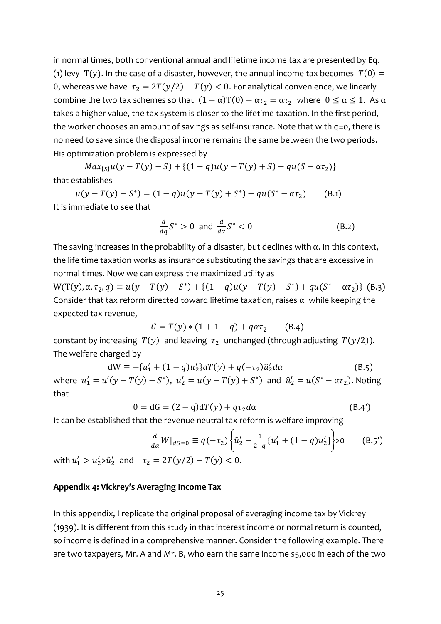in normal times, both conventional annual and lifetime income tax are presented by Eq. (1) levy T(y). In the case of a disaster, however, the annual income tax becomes  $T(0) =$ 0, whereas we have  $\tau_2 = 2T(y/2) - T(y) < 0$ . For analytical convenience, we linearly combine the two tax schemes so that  $(1 - \alpha)T(0) + \alpha \tau_2 = \alpha \tau_2$  where  $0 \le \alpha \le 1$ . As  $\alpha$ takes a higher value, the tax system is closer to the lifetime taxation. In the first period, the worker chooses an amount of savings as self-insurance. Note that with q=0, there is no need to save since the disposal income remains the same between the two periods. His optimization problem is expressed by

 $Max_{\{S\}}u(y-T(y)-S)+\{(1-q)u(y-T(y)+S)+qu(S-\alpha \tau_2)\}$ that establishes

 $u(y - T(y) - S^*) = (1 - q)u(y - T(y) + S^*) + qu(S^* - \alpha \tau_2)$  (B.1) It is immediate to see that

$$
\frac{d}{dq}S^* > 0 \text{ and } \frac{d}{da}S^* < 0 \tag{B.2}
$$

The saving increases in the probability of a disaster, but declines with  $\alpha$ . In this context, the life time taxation works as insurance substituting the savings that are excessive in normal times. Now we can express the maximized utility as

 $W(T(y), \alpha, \tau_2, q) \equiv u(y - T(y) - S^*) + \{(1 - q)u(y - T(y) + S^*) + qu(S^* - \alpha \tau_2)\}$  (B.3) Consider that tax reform directed toward lifetime taxation, raises  $\alpha$  while keeping the expected tax revenue,

$$
G = T(y) * (1 + 1 - q) + q\alpha\tau_2
$$
 (B.4)

constant by increasing  $T(y)$  and leaving  $\tau_2$  unchanged (through adjusting  $T(y/2)$ ). The welfare charged by

$$
dW \equiv -\{u'_1 + (1 - q)u'_2\}dT(y) + q(-\tau_2)\hat{u}'_2 d\alpha
$$
 (B.5)

where  $u'_1 = u'(y - T(y) - S^*)$ ,  $u'_2 = u(y - T(y) + S^*)$  and  $\hat{u}'_2 = u(S^* - \alpha \tau_2)$ . Noting that

$$
0 = dG = (2 - q)dT(y) + q\tau_2 d\alpha \qquad (B.4')
$$

It can be established that the revenue neutral tax reform is welfare improving

$$
\frac{d}{d\alpha}W|_{dG=0} \equiv q(-\tau_2)\left\{\hat{u}_2' - \frac{1}{2-q}\left\{u_1' + (1-q)u_2'\right\}\right\} > 0
$$
 (B.5')

with  $u'_1 > u'_2 > \hat{u}'_2$  and  $\tau_2 = 2T(y/2) - T(y) < 0$ .

## **Appendix 4: Vickrey's Averaging Income Tax**

In this appendix, I replicate the original proposal of averaging income tax by Vickrey (1939). It is different from this study in that interest income or normal return is counted, so income is defined in a comprehensive manner. Consider the following example. There are two taxpayers, Mr. A and Mr. B, who earn the same income \$5,000 in each of the two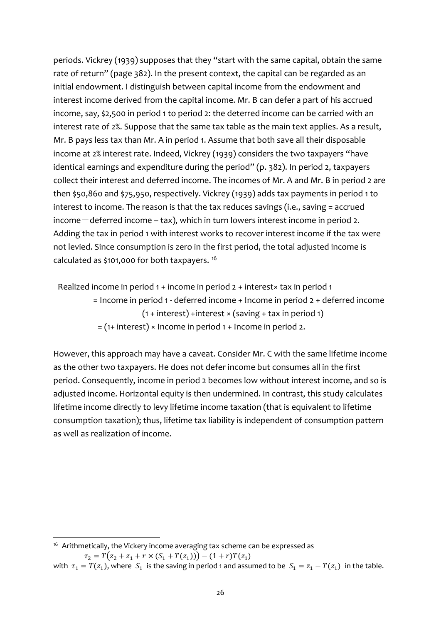periods. Vickrey (1939) supposes that they "start with the same capital, obtain the same rate of return" (page 382). In the present context, the capital can be regarded as an initial endowment. I distinguish between capital income from the endowment and interest income derived from the capital income. Mr. B can defer a part of his accrued income, say, \$2,500 in period 1 to period 2: the deterred income can be carried with an interest rate of 2%. Suppose that the same tax table as the main text applies. As a result, Mr. B pays less tax than Mr. A in period 1. Assume that both save all their disposable income at 2% interest rate. Indeed, Vickrey (1939) considers the two taxpayers "have identical earnings and expenditure during the period" (p. 382). In period 2, taxpayers collect their interest and deferred income. The incomes of Mr. A and Mr. B in period 2 are then \$50,860 and \$75,950, respectively. Vickrey (1939) adds tax payments in period 1 to interest to income. The reason is that the tax reduces savings (i.e., saving = accrued  $income$  – deferred income – tax), which in turn lowers interest income in period 2. Adding the tax in period 1 with interest works to recover interest income if the tax were not levied. Since consumption is zero in the first period, the total adjusted income is calculated as \$101,000 for both taxpayers. [16](#page-25-0)

Realized income in period 1 + income in period 2 + interest× tax in period 1 = Income in period 1 - deferred income + Income in period 2 + deferred income  $(1 + interest) + interest \times (saving + tax in period 1)$  $=$  (1+ interest)  $\times$  Income in period 1 + Income in period 2.

However, this approach may have a caveat. Consider Mr. C with the same lifetime income as the other two taxpayers. He does not defer income but consumes all in the first period. Consequently, income in period 2 becomes low without interest income, and so is adjusted income. Horizontal equity is then undermined. In contrast, this study calculates lifetime income directly to levy lifetime income taxation (that is equivalent to lifetime consumption taxation); thus, lifetime tax liability is independent of consumption pattern as well as realization of income.

<span id="page-25-0"></span><sup>16</sup> Arithmetically, the Vickery income averaging tax scheme can be expressed as

 $\tau_2 = T(z_2 + z_1 + r \times (S_1 + T(z_1))) - (1+r)T(z_1)$ 

with  $\tau_1 = T(z_1)$ , where  $S_1$  is the saving in period 1 and assumed to be  $S_1 = z_1 - T(z_1)$  in the table.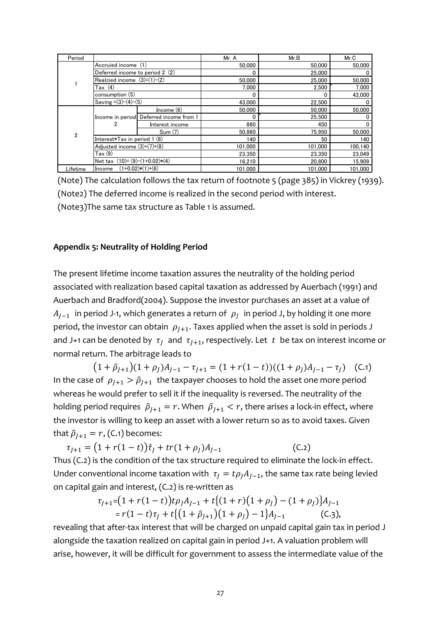| Period         |                                     |                                         | Mr. A   | Mr.B    | Mr.C    |
|----------------|-------------------------------------|-----------------------------------------|---------|---------|---------|
|                | Accruied income (1)                 |                                         | 50,000  | 50,000  | 50,000  |
|                | Deferred income to period 2 (2)     |                                         |         | 25,000  |         |
|                | Realzied income $(3)=(1)-(2)$       |                                         | 50,000  | 25,000  | 50,000  |
|                | Tax (4)                             |                                         | 7.000   | 2.500   | 7,000   |
|                | consumption (5)                     |                                         | 0       |         | 43.000  |
|                | Saving $=(3)-(4)-(5)$               |                                         | 43,000  | 22,500  |         |
|                |                                     | Income $(6)$                            | 50,000  | 50.000  | 50.000  |
|                |                                     | Income in period Deferred income from 1 | 0       | 25.500  |         |
|                |                                     | Interest income                         | 860     | 450     |         |
| $\overline{2}$ |                                     | Sum (7)                                 | 50.860  | 75.950  | 50.000  |
|                | Interest $*Tax$ in period 1 $(8)$   |                                         | 140     | 50      | 140     |
|                | Adjusted income $(3)+(7)+(8)$       |                                         | 101.000 | 101.000 | 100,140 |
|                | Tax(9)                              |                                         | 23.350  | 23.350  | 23,049  |
|                | Net tax $(10) = (9) - (1+0.02)*(4)$ |                                         | 16.210  | 20.800  | 15,909  |
| Lifetime       | $(1+0.02)*(1)+(6)$<br>Income        |                                         | 101.000 | 101.000 | 101.000 |

(Note) The calculation follows the tax return of footnote 5 (page 385) in Vickrey (1939). (Note2) The deferred income is realized in the second period with interest. (Note3)The same tax structure as Table 1 is assumed.

#### **Appendix 5: Neutrality of Holding Period**

The present lifetime income taxation assures the neutrality of the holding period associated with realization based capital taxation as addressed by Auerbach (1991) and Auerbach and Bradford(2004). Suppose the investor purchases an asset at a value of  $A_{I-1}$  in period J-1, which generates a return of  $\rho_I$  in period J, by holding it one more period, the investor can obtain  $\rho_{I+1}$ . Taxes applied when the asset is sold in periods J and J+1 can be denoted by  $\tau_I$  and  $\tau_{J+1}$ , respectively. Let t be tax on interest income or normal return. The arbitrage leads to

 $(1 + \hat{\rho}_{l+1})(1 + \rho_l)A_{l-1} - \tau_{l+1} = (1 + r(1 - t))((1 + \rho_l)A_{l-1} - \tau_l)$  (C.1) In the case of  $\rho_{I+1} > \hat{\rho}_{I+1}$  the taxpayer chooses to hold the asset one more period whereas he would prefer to sell it if the inequality is reversed. The neutrality of the holding period requires  $\hat{\rho}_{I+1} = r$ . When  $\hat{\rho}_{I+1} < r$ , there arises a lock-in effect, where the investor is willing to keep an asset with a lower return so as to avoid taxes. Given that  $\hat{\rho}_{I+1} = r$ , (C.1) becomes:

 $\tau_{J+1} = (1 + r(1 - t))\hat{\tau}_J + tr(1 + \rho_J)A_{J-1}$  (C.2) Thus (C.2) is the condition of the tax structure required to eliminate the lock-in effect. Under conventional income taxation with  $\tau_1 = t \rho_1 A_{1-1}$ , the same tax rate being levied on capital gain and interest, (C.2) is re-written as

$$
\tau_{J+1} = (1 + r(1 - t))t\rho_J A_{J-1} + t\{(1 + r)(1 + \rho_J) - (1 + \rho_J)\}A_{J-1}
$$
  
=  $r(1 - t)\tau_J + t\{(1 + \hat{\rho}_{J+1})(1 + \rho_J) - 1\}A_{J-1}$  (C.3),

revealing that after-tax interest that will be charged on unpaid capital gain tax in period J alongside the taxation realized on capital gain in period J+1. A valuation problem will arise, however, it will be difficult for government to assess the intermediate value of the